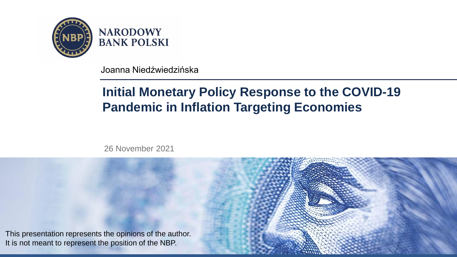

**NARODOWY BANK POLSKI** 

Joanna Niedźwiedzińska

# **Initial Monetary Policy Response to the COVID-19 Pandemic in Inflation Targeting Economies**

26 November 2021

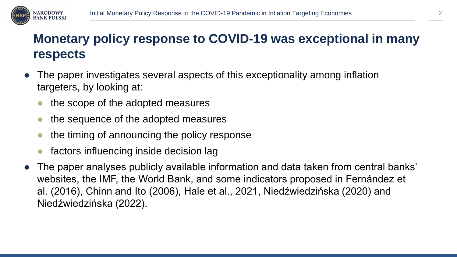

# **Monetary policy response to COVID-19 was exceptional in many respects**

- The paper investigates several aspects of this exceptionality among inflation targeters, by looking at:
	- the scope of the adopted measures
	- the sequence of the adopted measures
	- the timing of announcing the policy response
	- factors influencing inside decision lag
- The paper analyses publicly available information and data taken from central banks' websites, the IMF, the World Bank, and some indicators proposed in Fernández et al. (2016), Chinn and Ito (2006), Hale et al., 2021, Niedźwiedzińska (2020) and Niedźwiedzińska (2022).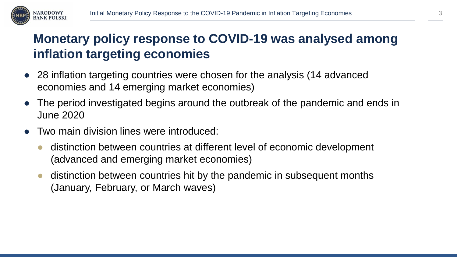

# **Monetary policy response to COVID-19 was analysed among inflation targeting economies**

- 28 inflation targeting countries were chosen for the analysis (14 advanced economies and 14 emerging market economies)
- The period investigated begins around the outbreak of the pandemic and ends in June 2020
- Two main division lines were introduced:
	- distinction between countries at different level of economic development (advanced and emerging market economies)
	- distinction between countries hit by the pandemic in subsequent months (January, February, or March waves)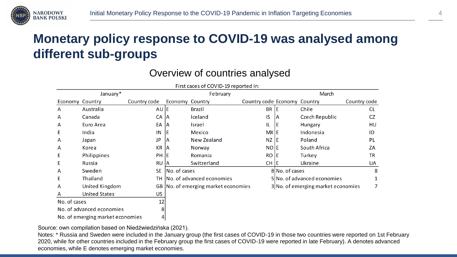

# **Monetary policy response to COVID-19 was analysed among different sub-groups**

### Overview of countries analysed

|                           |                       |              |                        | First caces of COVID-19 reported in: |                              |                |                                    |              |
|---------------------------|-----------------------|--------------|------------------------|--------------------------------------|------------------------------|----------------|------------------------------------|--------------|
| January*                  |                       |              |                        | February                             |                              | March          |                                    |              |
| <b>Economy Country</b>    |                       | Country code | <b>Economy Country</b> |                                      | Country code Economy Country |                |                                    | Country code |
| A                         | Australia             | AU E         |                        | <b>Brazil</b>                        | <b>BR</b>                    | ΙE             | Chile                              | <b>CL</b>    |
| A                         | Canada                | CA           | 1A                     | Iceland                              | IS                           | ΙA             | <b>Czech Republic</b>              | <b>CZ</b>    |
| A                         | <b>Euro Area</b>      | EA           | ΙA                     | <b>Israel</b>                        | IL                           | ΙE             | Hungary                            | HU           |
| Ε                         | India                 | IN           | ΙE                     | <b>Mexico</b>                        | <b>MXIE</b>                  |                | Indonesia                          | ID           |
| A                         | Japan                 | <b>JP</b>    | ΙA                     | New Zealand                          | NZ E                         |                | Poland                             | PL           |
| A                         | Korea                 | <b>KR</b>    | ΙA                     | Norway                               | NO E                         |                | <b>South Africa</b>                | ZA           |
| Ε                         | <b>Philippines</b>    | <b>PH</b>    | ΙE                     | Romania                              | <b>RO</b>                    | Е              | Turkey                             | <b>TR</b>    |
| Ε                         | Russia                | <b>RU</b>    | ΙA                     | Switzerland                          | <b>CH</b>                    | ТE             | Ukraine                            | <b>UA</b>    |
| A                         | Sweden                | <b>SE</b>    | <b>No. of cases</b>    |                                      |                              | 8 No. of cases |                                    | 8            |
| Ε                         | Thailand              | тн           |                        | No. of advanced economies            |                              |                | 5 No. of advanced economies        |              |
| A                         | <b>United Kingdom</b> |              |                        | GB No. of emerging market economies  |                              |                | 3 No. of emerging market economies | 7            |
| A                         | <b>United States</b>  | US.          |                        |                                      |                              |                |                                    |              |
| 12<br>No. of cases        |                       |              |                        |                                      |                              |                |                                    |              |
| No. of advanced economies |                       | 8            |                        |                                      |                              |                |                                    |              |

No. of emerging market economies

Source: own compilation based on Niedźwiedzińska (2021).

 $\overline{4}$ 

Notes: \* Russia and Sweden were included in the January group (the first cases of COVID-19 in those two countries were reported on 1st February 2020, while for other countries included in the February group the first cases of COVID-19 were reported in late February). A denotes advanced economies, while E denotes emerging market economies.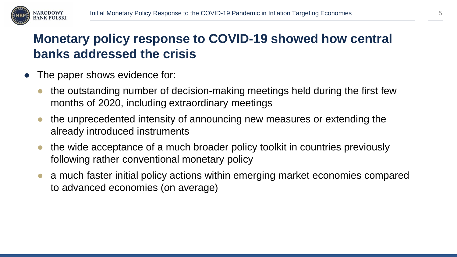

# **Monetary policy response to COVID-19 showed how central banks addressed the crisis**

- The paper shows evidence for:
	- the outstanding number of decision-making meetings held during the first few months of 2020, including extraordinary meetings
	- the unprecedented intensity of announcing new measures or extending the already introduced instruments
	- the wide acceptance of a much broader policy toolkit in countries previously following rather conventional monetary policy
	- a much faster initial policy actions within emerging market economies compared to advanced economies (on average)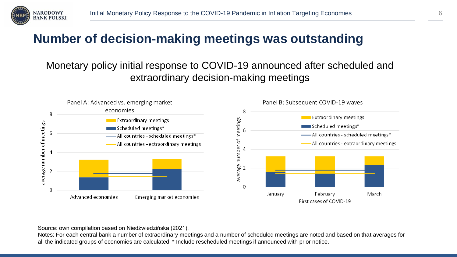

## **Number of decision-making meetings was outstanding**

### Monetary policy initial response to COVID-19 announced after scheduled and extraordinary decision-making meetings



Source: own compilation based on Niedźwiedzińska (2021).

Notes: For each central bank a number of extraordinary meetings and a number of scheduled meetings are noted and based on that averages for all the indicated groups of economies are calculated. \* Include rescheduled meetings if announced with prior notice.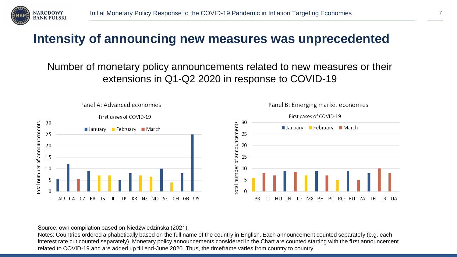

### **Intensity of announcing new measures was unprecedented**

### Number of monetary policy announcements related to new measures or their extensions in Q1-Q2 2020 in response to COVID-19



#### Source: own compilation based on Niedźwiedzińska (2021).

Notes: Countries ordered alphabetically based on the full name of the country in English. Each announcement counted separately (e.g. each interest rate cut counted separately). Monetary policy announcements considered in the Chart are counted starting with the first announcement related to COVID-19 and are added up till end-June 2020. Thus, the timeframe varies from country to country.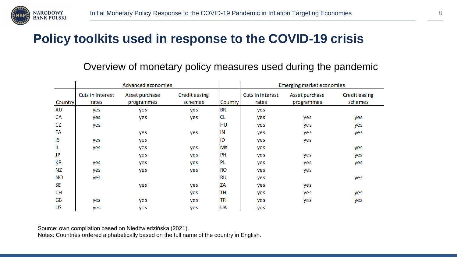

### **Policy toolkits used in response to the COVID-19 crisis**

#### Overview of monetary policy measures used during the pandemic

|                | <b>Advanced economies</b> |                |                      |           | Emerging market economies |                |                      |  |
|----------------|---------------------------|----------------|----------------------|-----------|---------------------------|----------------|----------------------|--|
|                | Cuts in interest          | Asset purchase | <b>Credit easing</b> |           | <b>Cuts in interest</b>   | Asset purchase | <b>Credit easing</b> |  |
| <b>Country</b> | rates                     | programmes     | schemes              | Country   | rates                     | programmes     | schemes              |  |
| AU             | yes                       | yes            | yes                  | <b>BR</b> | yes                       |                |                      |  |
| CA             | yes                       | yes            | yes                  | <b>CL</b> | yes                       | yes            | yes                  |  |
| CZ             | yes                       |                |                      | <b>HU</b> | yes                       | yes            | yes                  |  |
| EA             |                           | yes            | yes                  | IN        | yes                       | yes            | yes                  |  |
| IS             | yes                       | yes            |                      | ID        | yes                       | yes            |                      |  |
| IL             | yes                       | yes            | yes                  | <b>MX</b> | yes                       |                | yes                  |  |
| JP             |                           | yes            | yes                  | PH        | yes                       | yes            | yes                  |  |
| КR             | yes                       | yes            | yes                  | <b>PL</b> | yes                       | yes            | yes                  |  |
| <b>NZ</b>      | yes                       | yes            | yes                  | <b>RO</b> | yes                       | yes            |                      |  |
| <b>NO</b>      | yes                       |                |                      | <b>RU</b> | yes                       |                | yes                  |  |
| SE             |                           | yes            | yes                  | ZA        | yes                       | yes            |                      |  |
| <b>CH</b>      |                           |                | yes                  | TH        | yes                       | yes            | yes                  |  |
| <b>GB</b>      | yes                       | yes            | yes                  | TR        | yes                       | yes            | yes                  |  |
| <b>US</b>      | yes                       | yes            | yes                  | <b>UA</b> | yes                       |                |                      |  |

Source: own compilation based on Niedźwiedzińska (2021).

Notes: Countries ordered alphabetically based on the full name of the country in English.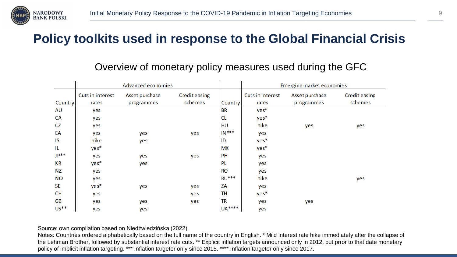

### **Policy toolkits used in response to the Global Financial Crisis**

|           | Advanced economies        |                              |                                 |                | Emerging market economies |                              |                                 |  |
|-----------|---------------------------|------------------------------|---------------------------------|----------------|---------------------------|------------------------------|---------------------------------|--|
| Country   | Cuts in interest<br>rates | Asset purchase<br>programmes | <b>Credit easing</b><br>schemes | <b>Country</b> | Cuts in interest<br>rates | Asset purchase<br>programmes | <b>Credit easing</b><br>schemes |  |
| AU        | yes                       |                              |                                 | <b>BR</b>      | yes*                      |                              |                                 |  |
| <b>CA</b> | yes                       |                              |                                 | <b>CL</b>      | yes*                      |                              |                                 |  |
| <b>CZ</b> | yes                       |                              |                                 | <b>HU</b>      | hike                      | yes                          | yes                             |  |
| EA        | yes                       | yes                          | yes                             | $IN***$        | yes                       |                              |                                 |  |
| IS        | hike                      | yes                          |                                 | ID             | yes*                      |                              |                                 |  |
| IL        | $yes*$                    |                              |                                 | <b>MX</b>      | yes*                      |                              |                                 |  |
| $JP**$    | yes                       | yes                          | yes                             | PH             | yes                       |                              |                                 |  |
| КR        | $yes*$                    | yes                          |                                 | <b>PL</b>      | yes                       |                              |                                 |  |
| ΝZ        | yes                       |                              |                                 | <b>RO</b>      | yes                       |                              |                                 |  |
| <b>NO</b> | yes                       |                              |                                 | <b>RU***</b>   | hike                      |                              | yes                             |  |
| <b>SE</b> | yes*                      | yes                          | yes                             | ZA             | yes                       |                              |                                 |  |
| <b>CH</b> | yes                       |                              | yes                             | TН             | yes*                      |                              |                                 |  |
| GB        | yes                       | yes                          | yes                             | <b>TR</b>      | yes                       | yes                          |                                 |  |
| $US**$    | yes                       | yes                          |                                 | <b>UA****</b>  | yes                       |                              |                                 |  |

#### Overview of monetary policy measures used during the GFC

Source: own compilation based on Niedźwiedzińska (2022).

Notes: Countries ordered alphabetically based on the full name of the country in English. \* Mild interest rate hike immediately after the collapse of the Lehman Brother, followed by substantial interest rate cuts. \*\* Explicit inflation targets announced only in 2012, but prior to that date monetary policy of implicit inflation targeting. \*\*\* Inflation targeter only since 2015. \*\*\*\* Inflation targeter only since 2017.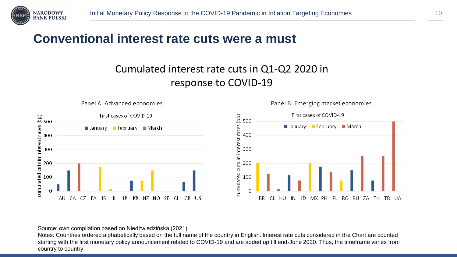

### **Conventional interest rate cuts were a must**

### Cumulated interest rate cuts in Q1-Q2 2020 in response to COVID-19



Source: own compilation based on Niedźwiedzińska (2021).

Notes: Countries ordered alphabetically based on the full name of the country in English. Interest rate cuts considered in the Chart are counted starting with the first monetary policy announcement related to COVID-19 and are added up till end-June 2020. Thus, the timeframe varies from country to country.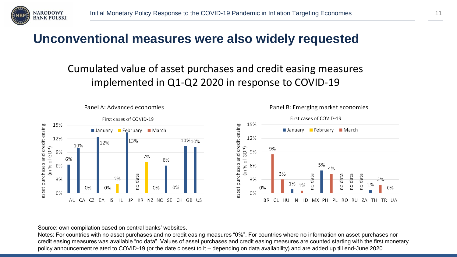

### **Unconventional measures were also widely requested**

### Cumulated value of asset purchases and credit easing measures implemented in Q1-Q2 2020 in response to COVID-19





#### Panel B: Emerging market economies

Source: own compilation based on central banks' websites.

Notes: For countries with no asset purchases and no credit easing measures "0%". For countries where no information on asset purchases nor credit easing measures was available "no data". Values of asset purchases and credit easing measures are counted starting with the first monetary policy announcement related to COVID-19 (or the date closest to it – depending on data availability) and are added up till end-June 2020.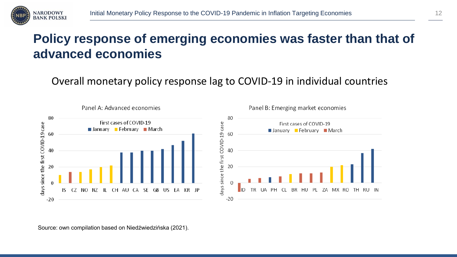

## **Policy response of emerging economies was faster than that of advanced economies**

Overall monetary policy response lag to COVID-19 in individual countries

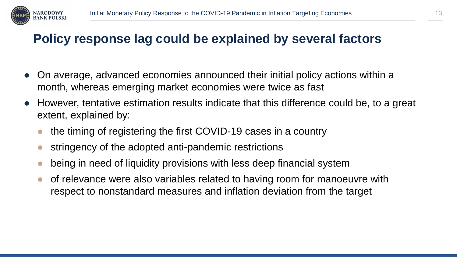

## **Policy response lag could be explained by several factors**

- On average, advanced economies announced their initial policy actions within a month, whereas emerging market economies were twice as fast
- However, tentative estimation results indicate that this difference could be, to a great extent, explained by:
	- the timing of registering the first COVID-19 cases in a country
	- stringency of the adopted anti-pandemic restrictions
	- being in need of liquidity provisions with less deep financial system
	- of relevance were also variables related to having room for manoeuvre with respect to nonstandard measures and inflation deviation from the target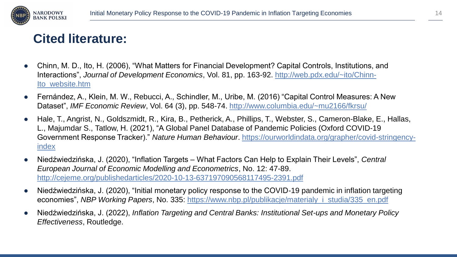

## **Cited literature:**

- Chinn, M. D., Ito, H. (2006), "What Matters for Financial Development? Capital Controls, Institutions, and Interactions", *Journal of Development Economics*[, Vol. 81, pp. 163-92. http://web.pdx.edu/~ito/Chinn-](http://web.pdx.edu/~ito/Chinn-Ito_website.htm)Ito\_website.htm
- Fernández, A., Klein, M. W., Rebucci, A., Schindler, M., Uribe, M. (2016) "Capital Control Measures: A New Dataset", *IMF Economic Review*, Vol. 64 (3), pp. 548-74.<http://www.columbia.edu/~mu2166/fkrsu/>
- Hale, T., Angrist, N., Goldszmidt, R., Kira, B., Petherick, A., Phillips, T., Webster, S., Cameron-Blake, E., Hallas, L., Majumdar S., Tatlow, H. (2021), "A Global Panel Database of Pandemic Policies (Oxford COVID-19 Government Response Tracker)." *Nature Human Behaviour*[. https://ourworldindata.org/grapher/covid-stringency](https://ourworldindata.org/grapher/covid-stringency-index)index
- Niedźwiedzińska, J. (2020), "Inflation Targets What Factors Can Help to Explain Their Levels", *Central European Journal of Economic Modelling and Econometrics*, No. 12: 47-89. <http://cejeme.org/publishedarticles/2020-10-13-637197090568117495-2391.pdf>
- Niedźwiedzińska, J. (2020), "Initial monetary policy response to the COVID-19 pandemic in inflation targeting economies", *NBP Working Papers*, No. 335: [https://www.nbp.pl/publikacje/materialy\\_i\\_studia/335\\_en.pdf](https://www.nbp.pl/publikacje/materialy_i_studia/335_en.pdf)
- Niedźwiedzińska, J. (2022), *Inflation Targeting and Central Banks: Institutional Set-ups and Monetary Policy Effectiveness*, Routledge.